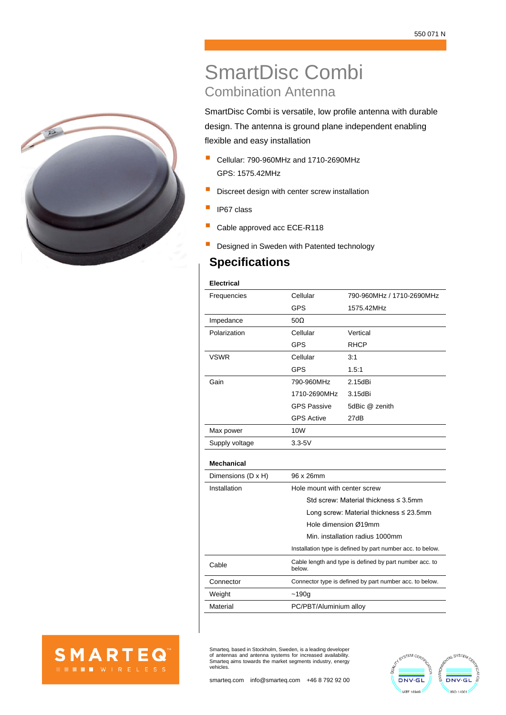

# SmartDisc Combi Combination Antenna

SmartDisc Combi is versatile, low profile antenna with durable design. The antenna is ground plane independent enabling flexible and easy installation

- Cellular: 790-960MHz and 1710-2690MHz GPS: 1575.42MHz
- **E** Discreet design with center screw installation
- **P** IP67 class
- Cable approved acc ECE-R118
- Designed in Sweden with Patented technology

## **Specifications**

### **Electrical**

| Frequencies       | Cellular           | 790-960MHz / 1710-2690MHz |  |
|-------------------|--------------------|---------------------------|--|
|                   | <b>GPS</b>         | 1575.42MHz                |  |
| Impedance         | $50\Omega$         |                           |  |
| Polarization      | Cellular           | Vertical                  |  |
|                   | <b>GPS</b>         | <b>RHCP</b>               |  |
| <b>VSWR</b>       | Cellular           | 3:1                       |  |
|                   | <b>GPS</b>         | 1.5:1                     |  |
| Gain              | 790-960MHz         | $2.15$ d $Bi$             |  |
|                   | 1710-2690MHz       | 3.15dBi                   |  |
|                   | <b>GPS Passive</b> | 5dBic @ zenith            |  |
|                   | <b>GPS Active</b>  | 27dB                      |  |
| Max power         | 10W                |                           |  |
| Supply voltage    | $3.3 - 5V$         |                           |  |
| <b>Mechanical</b> |                    |                           |  |

| Dimensions (D x H) | 96 x 26mm                                                         |  |  |
|--------------------|-------------------------------------------------------------------|--|--|
| Installation       | Hole mount with center screw                                      |  |  |
|                    | Std screw Material thickness $\leq$ 3.5mm                         |  |  |
|                    | Long screw: Material thickness $\leq$ 23.5mm                      |  |  |
|                    | Hole dimension Ø19mm                                              |  |  |
|                    | Min. installation radius 1000mm                                   |  |  |
|                    | Installation type is defined by part number acc. to below.        |  |  |
| Cable              | Cable length and type is defined by part number acc. to<br>below. |  |  |
| Connector          | Connector type is defined by part number acc. to below.           |  |  |
| Weight             | ~190q                                                             |  |  |
| Material           | PC/PBT/Aluminium alloy                                            |  |  |



Smarteq, based in Stockholm, Sweden, is a leading developer of antennas and antenna systems for increased availability. Smarteq aims towards the market segments industry, energy vehicles.